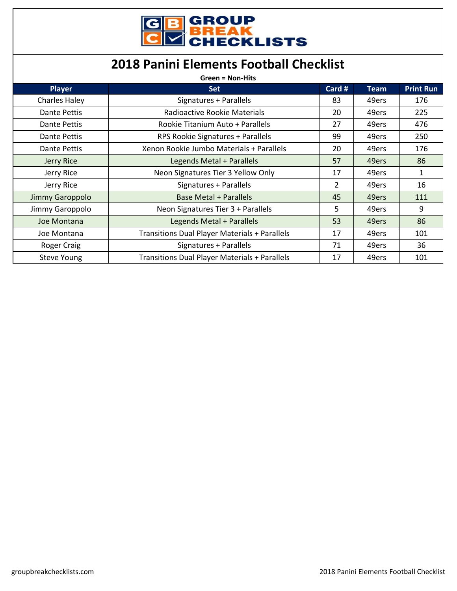| <b>GB GROUP<br/>CHECKLISTS</b> |
|--------------------------------|

## **2018 Panini Elements Football Checklist**

| <b>Green = Non-Hits</b> |                                                      |                |             |                  |
|-------------------------|------------------------------------------------------|----------------|-------------|------------------|
| <b>Player</b>           | <b>Set</b>                                           | Card #         | <b>Team</b> | <b>Print Run</b> |
| <b>Charles Haley</b>    | Signatures + Parallels                               | 83             | 49ers       | 176              |
| Dante Pettis            | Radioactive Rookie Materials                         | 20             | 49ers       | 225              |
| <b>Dante Pettis</b>     | Rookie Titanium Auto + Parallels                     | 27             | 49ers       | 476              |
| Dante Pettis            | RPS Rookie Signatures + Parallels                    | 99             | 49ers       | 250              |
| Dante Pettis            | Xenon Rookie Jumbo Materials + Parallels             | 20             | 49ers       | 176              |
| Jerry Rice              | Legends Metal + Parallels                            | 57             | 49ers       | 86               |
| Jerry Rice              | Neon Signatures Tier 3 Yellow Only                   | 17             | 49ers       | 1                |
| Jerry Rice              | Signatures + Parallels                               | $\overline{2}$ | 49ers       | 16               |
| Jimmy Garoppolo         | <b>Base Metal + Parallels</b>                        | 45             | 49ers       | 111              |
| Jimmy Garoppolo         | Neon Signatures Tier 3 + Parallels                   | 5              | 49ers       | 9                |
| Joe Montana             | Legends Metal + Parallels                            | 53             | 49ers       | 86               |
| Joe Montana             | <b>Transitions Dual Player Materials + Parallels</b> | 17             | 49ers       | 101              |
| Roger Craig             | Signatures + Parallels                               | 71             | 49ers       | 36               |
| <b>Steve Young</b>      | <b>Transitions Dual Player Materials + Parallels</b> | 17             | 49ers       | 101              |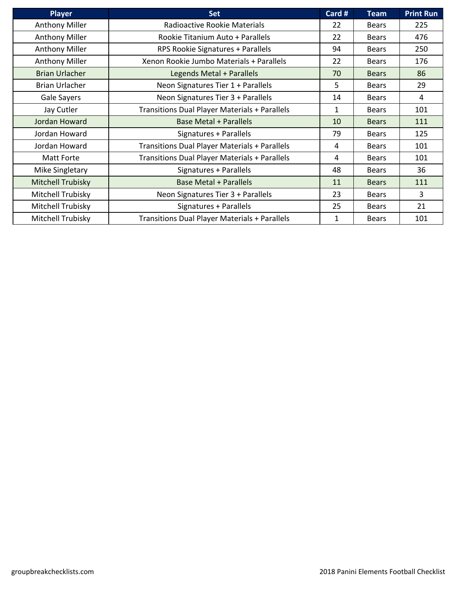| <b>Player</b>         | <b>Set</b>                                    | Card # | Team         | <b>Print Run</b> |
|-----------------------|-----------------------------------------------|--------|--------------|------------------|
| <b>Anthony Miller</b> | Radioactive Rookie Materials                  | 22     | <b>Bears</b> | 225              |
| <b>Anthony Miller</b> | Rookie Titanium Auto + Parallels              | 22     | <b>Bears</b> | 476              |
| <b>Anthony Miller</b> | RPS Rookie Signatures + Parallels             | 94     | <b>Bears</b> | 250              |
| <b>Anthony Miller</b> | Xenon Rookie Jumbo Materials + Parallels      | 22     | <b>Bears</b> | 176              |
| <b>Brian Urlacher</b> | Legends Metal + Parallels                     | 70     | <b>Bears</b> | 86               |
| <b>Brian Urlacher</b> | Neon Signatures Tier 1 + Parallels            | 5      | <b>Bears</b> | 29               |
| Gale Sayers           | Neon Signatures Tier 3 + Parallels            | 14     | <b>Bears</b> | $\overline{4}$   |
| Jay Cutler            | Transitions Dual Player Materials + Parallels | 1      | <b>Bears</b> | 101              |
| Jordan Howard         | <b>Base Metal + Parallels</b>                 | 10     | <b>Bears</b> | 111              |
| Jordan Howard         | Signatures + Parallels                        | 79     | <b>Bears</b> | 125              |
| Jordan Howard         | Transitions Dual Player Materials + Parallels | 4      | <b>Bears</b> | 101              |
| Matt Forte            | Transitions Dual Player Materials + Parallels | 4      | <b>Bears</b> | 101              |
| Mike Singletary       | Signatures + Parallels                        | 48     | <b>Bears</b> | 36               |
| Mitchell Trubisky     | <b>Base Metal + Parallels</b>                 | 11     | <b>Bears</b> | 111              |
| Mitchell Trubisky     | Neon Signatures Tier 3 + Parallels            | 23     | <b>Bears</b> | 3                |
| Mitchell Trubisky     | Signatures + Parallels                        | 25     | <b>Bears</b> | 21               |
| Mitchell Trubisky     | Transitions Dual Player Materials + Parallels | 1      | <b>Bears</b> | 101              |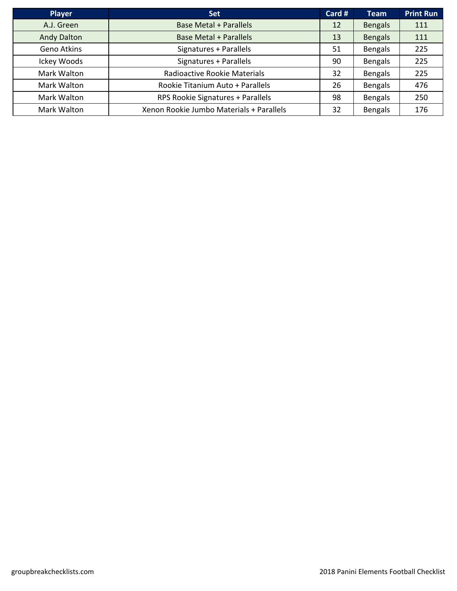| <b>Player</b>      | <b>Set</b>                               | Card # | <b>Team</b>    | <b>Print Run</b> |
|--------------------|------------------------------------------|--------|----------------|------------------|
| A.J. Green         | <b>Base Metal + Parallels</b>            | 12     | <b>Bengals</b> | 111              |
| <b>Andy Dalton</b> | <b>Base Metal + Parallels</b>            | 13     | <b>Bengals</b> | 111              |
| Geno Atkins        | Signatures + Parallels                   | 51     | <b>Bengals</b> | 225              |
| Ickey Woods        | Signatures + Parallels                   | 90     | <b>Bengals</b> | 225              |
| Mark Walton        | Radioactive Rookie Materials             | 32     | <b>Bengals</b> | 225              |
| Mark Walton        | Rookie Titanium Auto + Parallels         | 26     | <b>Bengals</b> | 476              |
| Mark Walton        | RPS Rookie Signatures + Parallels        | 98     | <b>Bengals</b> | 250              |
| Mark Walton        | Xenon Rookie Jumbo Materials + Parallels | 32     | <b>Bengals</b> | 176              |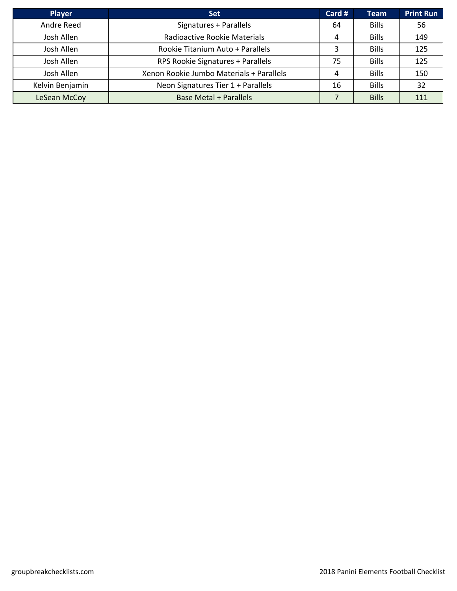| <b>Player</b>   | <b>Set</b>                               | Card # | <b>Team</b>  | <b>Print Run</b> |
|-----------------|------------------------------------------|--------|--------------|------------------|
| Andre Reed      | Signatures + Parallels                   | 64     | <b>Bills</b> | 56               |
| Josh Allen      | Radioactive Rookie Materials             | 4      | <b>Bills</b> | 149              |
| Josh Allen      | Rookie Titanium Auto + Parallels         |        | <b>Bills</b> | 125              |
| Josh Allen      | RPS Rookie Signatures + Parallels        | 75     | <b>Bills</b> | 125              |
| Josh Allen      | Xenon Rookie Jumbo Materials + Parallels | 4      | <b>Bills</b> | 150              |
| Kelvin Benjamin | Neon Signatures Tier 1 + Parallels       | 16     | <b>Bills</b> | 32               |
| LeSean McCoy    | <b>Base Metal + Parallels</b>            |        | <b>Bills</b> | 111              |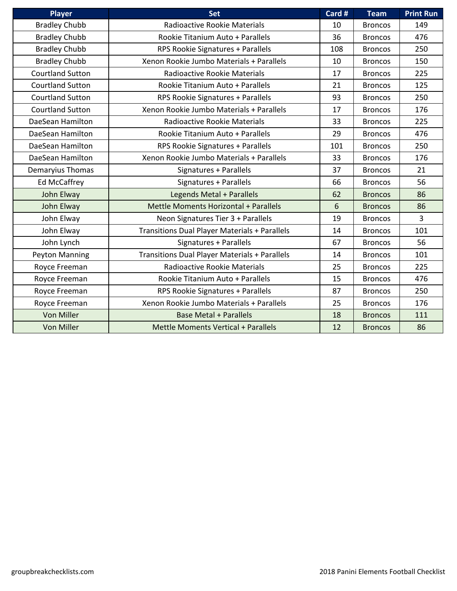| Player                  | <b>Set</b>                                           | Card # | <b>Team</b>    | <b>Print Run</b> |
|-------------------------|------------------------------------------------------|--------|----------------|------------------|
| <b>Bradley Chubb</b>    | Radioactive Rookie Materials                         | 10     | <b>Broncos</b> | 149              |
| <b>Bradley Chubb</b>    | Rookie Titanium Auto + Parallels                     | 36     | <b>Broncos</b> | 476              |
| <b>Bradley Chubb</b>    | RPS Rookie Signatures + Parallels                    | 108    | <b>Broncos</b> | 250              |
| <b>Bradley Chubb</b>    | Xenon Rookie Jumbo Materials + Parallels             | 10     | <b>Broncos</b> | 150              |
| <b>Courtland Sutton</b> | Radioactive Rookie Materials                         | 17     | <b>Broncos</b> | 225              |
| <b>Courtland Sutton</b> | Rookie Titanium Auto + Parallels                     | 21     | <b>Broncos</b> | 125              |
| <b>Courtland Sutton</b> | RPS Rookie Signatures + Parallels                    | 93     | <b>Broncos</b> | 250              |
| <b>Courtland Sutton</b> | Xenon Rookie Jumbo Materials + Parallels             | 17     | <b>Broncos</b> | 176              |
| DaeSean Hamilton        | Radioactive Rookie Materials                         | 33     | <b>Broncos</b> | 225              |
| DaeSean Hamilton        | Rookie Titanium Auto + Parallels                     | 29     | <b>Broncos</b> | 476              |
| DaeSean Hamilton        | RPS Rookie Signatures + Parallels                    | 101    | <b>Broncos</b> | 250              |
| DaeSean Hamilton        | Xenon Rookie Jumbo Materials + Parallels             | 33     | <b>Broncos</b> | 176              |
| Demaryius Thomas        | Signatures + Parallels                               | 37     | <b>Broncos</b> | 21               |
| Ed McCaffrey            | Signatures + Parallels                               | 66     | <b>Broncos</b> | 56               |
| John Elway              | Legends Metal + Parallels                            | 62     | <b>Broncos</b> | 86               |
| John Elway              | Mettle Moments Horizontal + Parallels                | 6      | <b>Broncos</b> | 86               |
| John Elway              | Neon Signatures Tier 3 + Parallels                   | 19     | <b>Broncos</b> | $\overline{3}$   |
| John Elway              | Transitions Dual Player Materials + Parallels        | 14     | <b>Broncos</b> | 101              |
| John Lynch              | Signatures + Parallels                               | 67     | <b>Broncos</b> | 56               |
| <b>Peyton Manning</b>   | <b>Transitions Dual Player Materials + Parallels</b> | 14     | <b>Broncos</b> | 101              |
| Royce Freeman           | Radioactive Rookie Materials                         | 25     | <b>Broncos</b> | 225              |
| Royce Freeman           | Rookie Titanium Auto + Parallels                     | 15     | <b>Broncos</b> | 476              |
| Royce Freeman           | RPS Rookie Signatures + Parallels                    | 87     | <b>Broncos</b> | 250              |
| Royce Freeman           | Xenon Rookie Jumbo Materials + Parallels             | 25     | <b>Broncos</b> | 176              |
| Von Miller              | Base Metal + Parallels                               | 18     | <b>Broncos</b> | 111              |
| Von Miller              | Mettle Moments Vertical + Parallels                  | 12     | <b>Broncos</b> | 86               |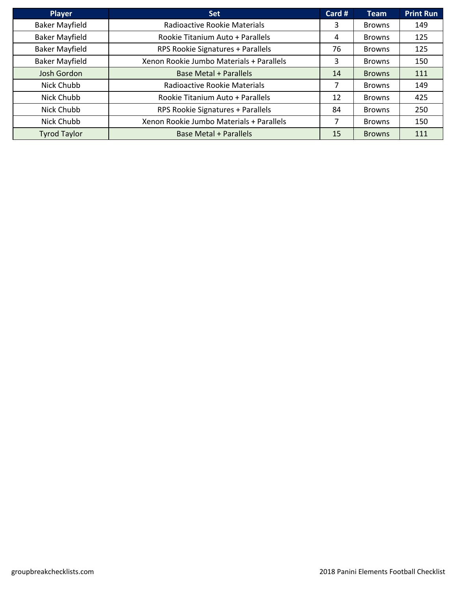| <b>Player</b>         | <b>Set</b>                               | Card # | <b>Team</b>   | <b>Print Run</b> |
|-----------------------|------------------------------------------|--------|---------------|------------------|
| <b>Baker Mayfield</b> | Radioactive Rookie Materials             | 3      | <b>Browns</b> | 149              |
| <b>Baker Mayfield</b> | Rookie Titanium Auto + Parallels         | 4      | Browns        | 125              |
| <b>Baker Mayfield</b> | RPS Rookie Signatures + Parallels        | 76     | <b>Browns</b> | 125              |
| <b>Baker Mayfield</b> | Xenon Rookie Jumbo Materials + Parallels | 3      | <b>Browns</b> | 150              |
| <b>Josh Gordon</b>    | <b>Base Metal + Parallels</b>            | 14     | <b>Browns</b> | 111              |
| Nick Chubb            | Radioactive Rookie Materials             | 7      | <b>Browns</b> | 149              |
| Nick Chubb            | Rookie Titanium Auto + Parallels         | 12     | Browns        | 425              |
| Nick Chubb            | RPS Rookie Signatures + Parallels        | 84     | <b>Browns</b> | 250              |
| Nick Chubb            | Xenon Rookie Jumbo Materials + Parallels | 7      | <b>Browns</b> | 150              |
| <b>Tyrod Taylor</b>   | <b>Base Metal + Parallels</b>            | 15     | <b>Browns</b> | 111              |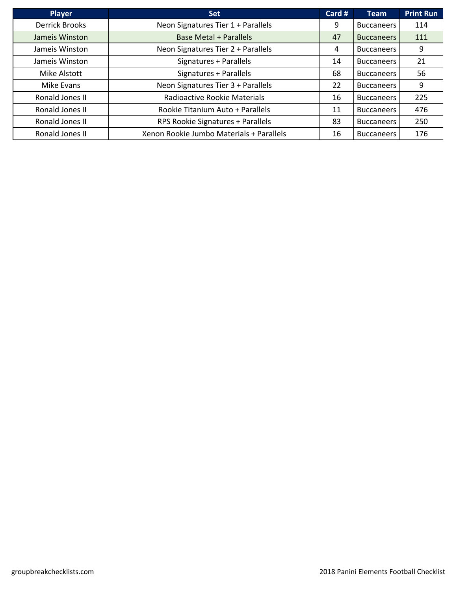| <b>Player</b>         | <b>Set</b>                               | Card # | <b>Team</b>       | <b>Print Run</b> |
|-----------------------|------------------------------------------|--------|-------------------|------------------|
| <b>Derrick Brooks</b> | Neon Signatures Tier 1 + Parallels       | 9      | <b>Buccaneers</b> | 114              |
| Jameis Winston        | <b>Base Metal + Parallels</b>            | 47     | <b>Buccaneers</b> | 111              |
| Jameis Winston        | Neon Signatures Tier 2 + Parallels       | 4      | <b>Buccaneers</b> | 9                |
| Jameis Winston        | Signatures + Parallels                   | 14     | <b>Buccaneers</b> | 21               |
| Mike Alstott          | Signatures + Parallels                   | 68     | <b>Buccaneers</b> | 56               |
| Mike Evans            | Neon Signatures Tier 3 + Parallels       | 22     | <b>Buccaneers</b> | 9                |
| Ronald Jones II       | Radioactive Rookie Materials             | 16     | <b>Buccaneers</b> | 225              |
| Ronald Jones II       | Rookie Titanium Auto + Parallels         | 11     | <b>Buccaneers</b> | 476              |
| Ronald Jones II       | RPS Rookie Signatures + Parallels        | 83     | <b>Buccaneers</b> | 250              |
| Ronald Jones II       | Xenon Rookie Jumbo Materials + Parallels | 16     | <b>Buccaneers</b> | 176              |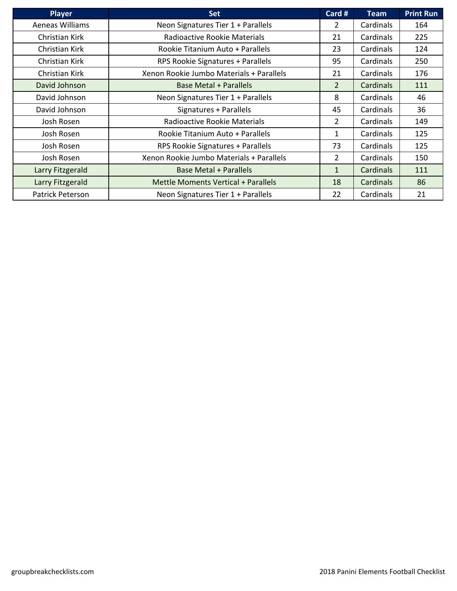| <b>Player</b>    | <b>Set</b>                               | Card #         | Team      | <b>Print Run</b> |
|------------------|------------------------------------------|----------------|-----------|------------------|
| Aeneas Williams  | Neon Signatures Tier 1 + Parallels       | 2              | Cardinals | 164              |
| Christian Kirk   | Radioactive Rookie Materials             | 21             | Cardinals | 225              |
| Christian Kirk   | Rookie Titanium Auto + Parallels         | 23             | Cardinals | 124              |
| Christian Kirk   | RPS Rookie Signatures + Parallels        | 95             | Cardinals | 250              |
| Christian Kirk   | Xenon Rookie Jumbo Materials + Parallels | 21             | Cardinals | 176              |
| David Johnson    | <b>Base Metal + Parallels</b>            | $\overline{2}$ | Cardinals | 111              |
| David Johnson    | Neon Signatures Tier 1 + Parallels       | 8              | Cardinals | 46               |
| David Johnson    | Signatures + Parallels                   | 45             | Cardinals | 36               |
| Josh Rosen       | Radioactive Rookie Materials             | $\overline{2}$ | Cardinals | 149              |
| Josh Rosen       | Rookie Titanium Auto + Parallels         | 1              | Cardinals | 125              |
| Josh Rosen       | RPS Rookie Signatures + Parallels        | 73             | Cardinals | 125              |
| Josh Rosen       | Xenon Rookie Jumbo Materials + Parallels | $\overline{2}$ | Cardinals | 150              |
| Larry Fitzgerald | <b>Base Metal + Parallels</b>            | $\mathbf{1}$   | Cardinals | 111              |
| Larry Fitzgerald | Mettle Moments Vertical + Parallels      | 18             | Cardinals | 86               |
| Patrick Peterson | Neon Signatures Tier 1 + Parallels       | 22             | Cardinals | 21               |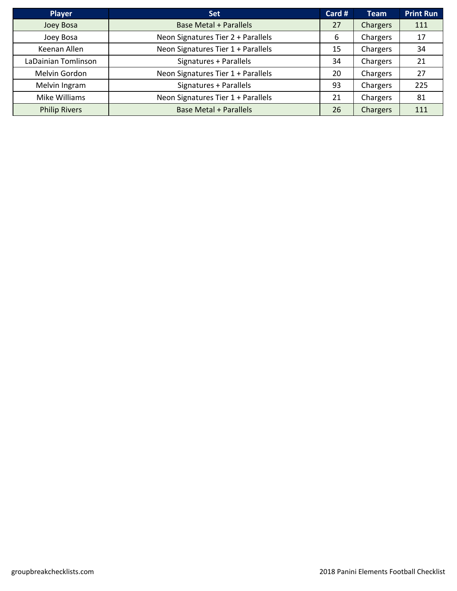| <b>Player</b>        | <b>Set</b>                         | Card # | <b>Team</b> | <b>Print Run</b> |
|----------------------|------------------------------------|--------|-------------|------------------|
| Joey Bosa            | <b>Base Metal + Parallels</b>      | 27     | Chargers    | 111              |
| Joey Bosa            | Neon Signatures Tier 2 + Parallels | 6      | Chargers    | 17               |
| Keenan Allen         | Neon Signatures Tier 1 + Parallels | 15     | Chargers    | 34               |
| LaDainian Tomlinson  | Signatures + Parallels             | 34     | Chargers    | 21               |
| Melvin Gordon        | Neon Signatures Tier 1 + Parallels | 20     | Chargers    | 27               |
| Melvin Ingram        | Signatures + Parallels             | 93     | Chargers    | 225              |
| Mike Williams        | Neon Signatures Tier 1 + Parallels | 21     | Chargers    | 81               |
| <b>Philip Rivers</b> | <b>Base Metal + Parallels</b>      | 26     | Chargers    | 111              |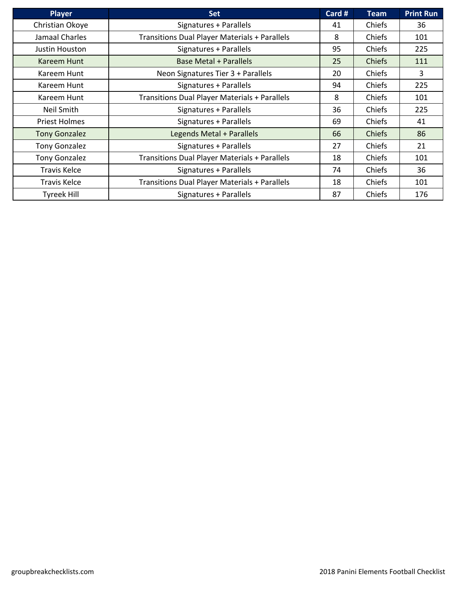| <b>Player</b>        | <b>Set</b>                                           | Card # | <b>Team</b>   | <b>Print Run</b> |
|----------------------|------------------------------------------------------|--------|---------------|------------------|
| Christian Okoye      | Signatures + Parallels                               | 41     | Chiefs        | 36               |
| Jamaal Charles       | <b>Transitions Dual Player Materials + Parallels</b> | 8      | Chiefs        | 101              |
| Justin Houston       | Signatures + Parallels                               | 95     | Chiefs        | 225              |
| Kareem Hunt          | <b>Base Metal + Parallels</b>                        | 25     | <b>Chiefs</b> | 111              |
| Kareem Hunt          | Neon Signatures Tier 3 + Parallels                   | 20     | Chiefs        | 3                |
| Kareem Hunt          | Signatures + Parallels                               | 94     | Chiefs        | 225              |
| Kareem Hunt          | <b>Transitions Dual Player Materials + Parallels</b> | 8      | Chiefs        | 101              |
| Neil Smith           | Signatures + Parallels                               | 36     | Chiefs        | 225              |
| <b>Priest Holmes</b> | Signatures + Parallels                               | 69     | Chiefs        | 41               |
| <b>Tony Gonzalez</b> | Legends Metal + Parallels                            | 66     | <b>Chiefs</b> | 86               |
| <b>Tony Gonzalez</b> | Signatures + Parallels                               | 27     | Chiefs        | 21               |
| <b>Tony Gonzalez</b> | <b>Transitions Dual Player Materials + Parallels</b> | 18     | Chiefs        | 101              |
| <b>Travis Kelce</b>  | Signatures + Parallels                               | 74     | Chiefs        | 36               |
| <b>Travis Kelce</b>  | <b>Transitions Dual Player Materials + Parallels</b> | 18     | Chiefs        | 101              |
| <b>Tyreek Hill</b>   | Signatures + Parallels                               | 87     | Chiefs        | 176              |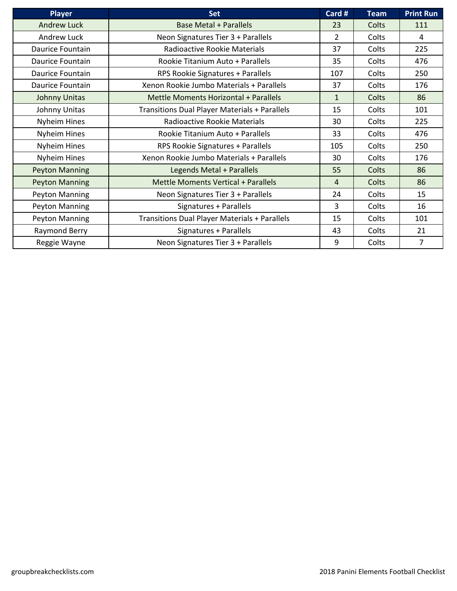| <b>Player</b>         | <b>Set</b>                                    | Card #         | <b>Team</b>  | <b>Print Run</b> |
|-----------------------|-----------------------------------------------|----------------|--------------|------------------|
| <b>Andrew Luck</b>    | <b>Base Metal + Parallels</b>                 | 23             | Colts        | 111              |
| Andrew Luck           | Neon Signatures Tier 3 + Parallels            | $\overline{2}$ | Colts        | 4                |
| Daurice Fountain      | Radioactive Rookie Materials                  | 37             | Colts        | 225              |
| Daurice Fountain      | Rookie Titanium Auto + Parallels              | 35             | Colts        | 476              |
| Daurice Fountain      | RPS Rookie Signatures + Parallels             | 107            | Colts        | 250              |
| Daurice Fountain      | Xenon Rookie Jumbo Materials + Parallels      | 37             | Colts        | 176              |
| Johnny Unitas         | Mettle Moments Horizontal + Parallels         | $\mathbf{1}$   | Colts        | 86               |
| Johnny Unitas         | Transitions Dual Player Materials + Parallels | 15             | Colts        | 101              |
| Nyheim Hines          | Radioactive Rookie Materials                  | 30             | Colts        | 225              |
| Nyheim Hines          | Rookie Titanium Auto + Parallels              | 33             | Colts        | 476              |
| Nyheim Hines          | RPS Rookie Signatures + Parallels             | 105            | Colts        | 250              |
| Nyheim Hines          | Xenon Rookie Jumbo Materials + Parallels      | 30             | Colts        | 176              |
| <b>Peyton Manning</b> | Legends Metal + Parallels                     | 55             | <b>Colts</b> | 86               |
| <b>Peyton Manning</b> | Mettle Moments Vertical + Parallels           | 4              | Colts        | 86               |
| Peyton Manning        | Neon Signatures Tier 3 + Parallels            | 24             | Colts        | 15               |
| Peyton Manning        | Signatures + Parallels                        | 3              | Colts        | 16               |
| Peyton Manning        | Transitions Dual Player Materials + Parallels | 15             | Colts        | 101              |
| Raymond Berry         | Signatures + Parallels                        | 43             | Colts        | 21               |
| Reggie Wayne          | Neon Signatures Tier 3 + Parallels            | 9              | Colts        | $\overline{7}$   |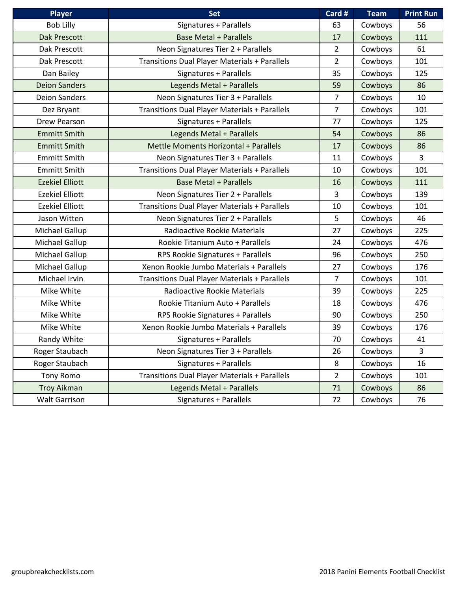| <b>Player</b>          | Set                                                  | Card #         | <b>Team</b> | <b>Print Run</b> |
|------------------------|------------------------------------------------------|----------------|-------------|------------------|
| <b>Bob Lilly</b>       | Signatures + Parallels                               | 63             | Cowboys     | 56               |
| <b>Dak Prescott</b>    | <b>Base Metal + Parallels</b>                        | 17             | Cowboys     | 111              |
| Dak Prescott           | Neon Signatures Tier 2 + Parallels                   | $\overline{2}$ | Cowboys     | 61               |
| Dak Prescott           | Transitions Dual Player Materials + Parallels        | $\overline{2}$ | Cowboys     | 101              |
| Dan Bailey             | Signatures + Parallels                               | 35             | Cowboys     | 125              |
| <b>Deion Sanders</b>   | Legends Metal + Parallels                            | 59             | Cowboys     | 86               |
| <b>Deion Sanders</b>   | Neon Signatures Tier 3 + Parallels                   | $\overline{7}$ | Cowboys     | 10               |
| Dez Bryant             | <b>Transitions Dual Player Materials + Parallels</b> | 7              | Cowboys     | 101              |
| Drew Pearson           | Signatures + Parallels                               | 77             | Cowboys     | 125              |
| <b>Emmitt Smith</b>    | Legends Metal + Parallels                            | 54             | Cowboys     | 86               |
| <b>Emmitt Smith</b>    | Mettle Moments Horizontal + Parallels                | 17             | Cowboys     | 86               |
| <b>Emmitt Smith</b>    | Neon Signatures Tier 3 + Parallels                   | 11             | Cowboys     | $\overline{3}$   |
| <b>Emmitt Smith</b>    | <b>Transitions Dual Player Materials + Parallels</b> | 10             | Cowboys     | 101              |
| <b>Ezekiel Elliott</b> | <b>Base Metal + Parallels</b>                        | 16             | Cowboys     | 111              |
| <b>Ezekiel Elliott</b> | Neon Signatures Tier 2 + Parallels                   | 3              | Cowboys     | 139              |
| <b>Ezekiel Elliott</b> | <b>Transitions Dual Player Materials + Parallels</b> | 10             | Cowboys     | 101              |
| Jason Witten           | Neon Signatures Tier 2 + Parallels                   | 5              | Cowboys     | 46               |
| Michael Gallup         | Radioactive Rookie Materials                         | 27             | Cowboys     | 225              |
| Michael Gallup         | Rookie Titanium Auto + Parallels                     | 24             | Cowboys     | 476              |
| Michael Gallup         | RPS Rookie Signatures + Parallels                    | 96             | Cowboys     | 250              |
| Michael Gallup         | Xenon Rookie Jumbo Materials + Parallels             | 27             | Cowboys     | 176              |
| Michael Irvin          | Transitions Dual Player Materials + Parallels        | $\overline{7}$ | Cowboys     | 101              |
| Mike White             | Radioactive Rookie Materials                         | 39             | Cowboys     | 225              |
| Mike White             | Rookie Titanium Auto + Parallels                     | 18             | Cowboys     | 476              |
| Mike White             | RPS Rookie Signatures + Parallels                    | 90             | Cowboys     | 250              |
| Mike White             | Xenon Rookie Jumbo Materials + Parallels             | 39             | Cowboys     | 176              |
| Randy White            | Signatures + Parallels                               | 70             | Cowboys     | 41               |
| Roger Staubach         | Neon Signatures Tier 3 + Parallels                   | 26             | Cowboys     | 3                |
| Roger Staubach         | Signatures + Parallels                               | 8              | Cowboys     | 16               |
| <b>Tony Romo</b>       | Transitions Dual Player Materials + Parallels        | $\overline{2}$ | Cowboys     | 101              |
| <b>Troy Aikman</b>     | Legends Metal + Parallels                            | 71             | Cowboys     | 86               |
| <b>Walt Garrison</b>   | Signatures + Parallels                               | 72             | Cowboys     | 76               |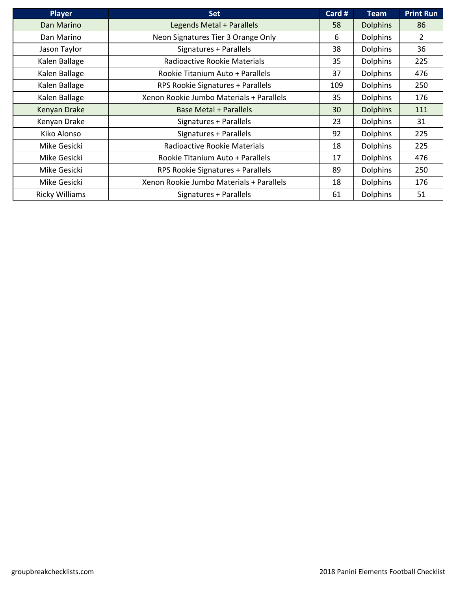| <b>Player</b>         | <b>Set</b>                               | Card # | <b>Team</b>     | <b>Print Run</b> |
|-----------------------|------------------------------------------|--------|-----------------|------------------|
| Dan Marino            | Legends Metal + Parallels                | 58     | <b>Dolphins</b> | 86               |
| Dan Marino            | Neon Signatures Tier 3 Orange Only       | 6      | <b>Dolphins</b> | $\overline{2}$   |
| Jason Taylor          | Signatures + Parallels                   | 38     | <b>Dolphins</b> | 36               |
| Kalen Ballage         | Radioactive Rookie Materials             | 35     | <b>Dolphins</b> | 225              |
| Kalen Ballage         | Rookie Titanium Auto + Parallels         | 37     | <b>Dolphins</b> | 476              |
| Kalen Ballage         | RPS Rookie Signatures + Parallels        | 109    | <b>Dolphins</b> | 250              |
| Kalen Ballage         | Xenon Rookie Jumbo Materials + Parallels | 35     | <b>Dolphins</b> | 176              |
| Kenyan Drake          | <b>Base Metal + Parallels</b>            | 30     | <b>Dolphins</b> | 111              |
| Kenyan Drake          | Signatures + Parallels                   | 23     | <b>Dolphins</b> | 31               |
| Kiko Alonso           | Signatures + Parallels                   | 92     | <b>Dolphins</b> | 225              |
| Mike Gesicki          | Radioactive Rookie Materials             | 18     | <b>Dolphins</b> | 225              |
| Mike Gesicki          | Rookie Titanium Auto + Parallels         | 17     | <b>Dolphins</b> | 476              |
| Mike Gesicki          | RPS Rookie Signatures + Parallels        | 89     | <b>Dolphins</b> | 250              |
| Mike Gesicki          | Xenon Rookie Jumbo Materials + Parallels | 18     | <b>Dolphins</b> | 176              |
| <b>Ricky Williams</b> | Signatures + Parallels                   | 61     | <b>Dolphins</b> | 51               |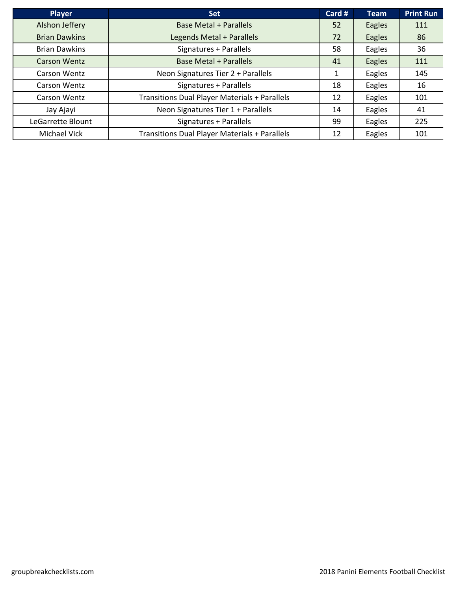| <b>Player</b>        | <b>Set</b>                                           | Card # | <b>Team</b> | <b>Print Run</b> |
|----------------------|------------------------------------------------------|--------|-------------|------------------|
| Alshon Jeffery       | <b>Base Metal + Parallels</b>                        | 52     | Eagles      | 111              |
| <b>Brian Dawkins</b> | Legends Metal + Parallels                            | 72     | Eagles      | 86               |
| <b>Brian Dawkins</b> | Signatures + Parallels                               | 58     | Eagles      | 36               |
| <b>Carson Wentz</b>  | <b>Base Metal + Parallels</b>                        | 41     | Eagles      | 111              |
| Carson Wentz         | Neon Signatures Tier 2 + Parallels                   | 1      | Eagles      | 145              |
| Carson Wentz         | Signatures + Parallels                               | 18     | Eagles      | 16               |
| Carson Wentz         | Transitions Dual Player Materials + Parallels        | 12     | Eagles      | 101              |
| Jay Ajayi            | Neon Signatures Tier 1 + Parallels                   | 14     | Eagles      | 41               |
| LeGarrette Blount    | Signatures + Parallels                               | 99     | Eagles      | 225              |
| Michael Vick         | <b>Transitions Dual Player Materials + Parallels</b> | 12     | Eagles      | 101              |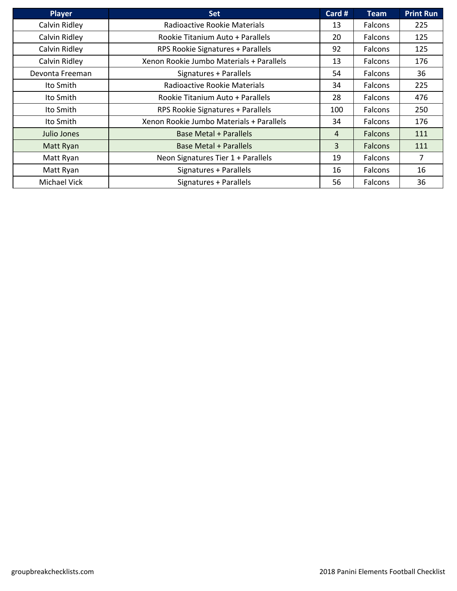| <b>Player</b>       | <b>Set</b>                               | Card # | <b>Team</b>    | <b>Print Run</b> |
|---------------------|------------------------------------------|--------|----------------|------------------|
| Calvin Ridley       | Radioactive Rookie Materials             | 13     | <b>Falcons</b> | 225              |
| Calvin Ridley       | Rookie Titanium Auto + Parallels         | 20     | Falcons        | 125              |
| Calvin Ridley       | RPS Rookie Signatures + Parallels        | 92     | Falcons        | 125              |
| Calvin Ridley       | Xenon Rookie Jumbo Materials + Parallels | 13     | Falcons        | 176              |
| Devonta Freeman     | Signatures + Parallels                   | 54     | Falcons        | 36               |
| Ito Smith           | Radioactive Rookie Materials             | 34     | Falcons        | 225              |
| Ito Smith           | Rookie Titanium Auto + Parallels         | 28     | Falcons        | 476              |
| Ito Smith           | RPS Rookie Signatures + Parallels        | 100    | Falcons        | 250              |
| Ito Smith           | Xenon Rookie Jumbo Materials + Parallels | 34     | Falcons        | 176              |
| Julio Jones         | <b>Base Metal + Parallels</b>            | 4      | <b>Falcons</b> | 111              |
| Matt Ryan           | <b>Base Metal + Parallels</b>            | 3      | <b>Falcons</b> | 111              |
| Matt Ryan           | Neon Signatures Tier 1 + Parallels       | 19     | Falcons        | $\overline{7}$   |
| Matt Ryan           | Signatures + Parallels                   | 16     | Falcons        | 16               |
| <b>Michael Vick</b> | Signatures + Parallels                   | 56     | Falcons        | 36               |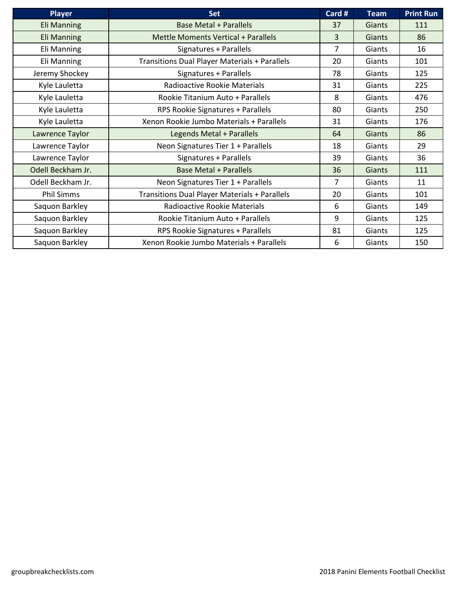| <b>Player</b>      | <b>Set</b>                                           | Card #         | <b>Team</b>   | <b>Print Run</b> |
|--------------------|------------------------------------------------------|----------------|---------------|------------------|
| <b>Eli Manning</b> | <b>Base Metal + Parallels</b>                        | 37             | Giants        | 111              |
| <b>Eli Manning</b> | <b>Mettle Moments Vertical + Parallels</b>           | 3              | <b>Giants</b> | 86               |
| Eli Manning        | Signatures + Parallels                               | $\overline{7}$ | Giants        | 16               |
| Eli Manning        | <b>Transitions Dual Player Materials + Parallels</b> | 20             | Giants        | 101              |
| Jeremy Shockey     | Signatures + Parallels                               | 78             | Giants        | 125              |
| Kyle Lauletta      | Radioactive Rookie Materials                         | 31             | Giants        | 225              |
| Kyle Lauletta      | Rookie Titanium Auto + Parallels                     | 8              | Giants        | 476              |
| Kyle Lauletta      | RPS Rookie Signatures + Parallels                    | 80             | Giants        | 250              |
| Kyle Lauletta      | Xenon Rookie Jumbo Materials + Parallels             | 31             | Giants        | 176              |
| Lawrence Taylor    | Legends Metal + Parallels                            | 64             | Giants        | 86               |
| Lawrence Taylor    | Neon Signatures Tier 1 + Parallels                   | 18             | Giants        | 29               |
| Lawrence Taylor    | Signatures + Parallels                               | 39             | Giants        | 36               |
| Odell Beckham Jr.  | <b>Base Metal + Parallels</b>                        | 36             | Giants        | 111              |
| Odell Beckham Jr.  | Neon Signatures Tier 1 + Parallels                   | $\overline{7}$ | Giants        | 11               |
| <b>Phil Simms</b>  | <b>Transitions Dual Player Materials + Parallels</b> | 20             | Giants        | 101              |
| Saquon Barkley     | Radioactive Rookie Materials                         | 6              | Giants        | 149              |
| Saquon Barkley     | Rookie Titanium Auto + Parallels                     | 9              | Giants        | 125              |
| Saquon Barkley     | RPS Rookie Signatures + Parallels                    | 81             | Giants        | 125              |
| Saquon Barkley     | Xenon Rookie Jumbo Materials + Parallels             | 6              | Giants        | 150              |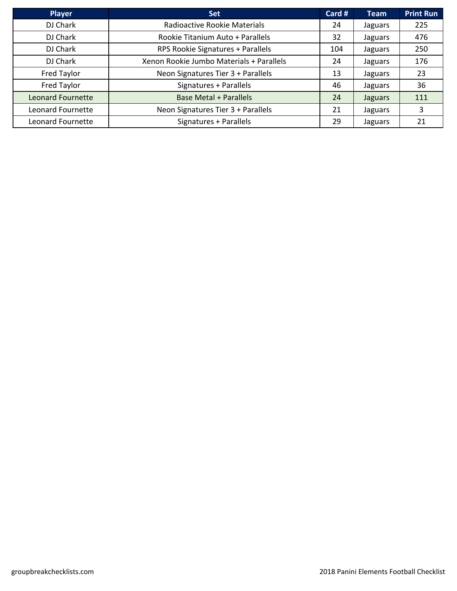| <b>Player</b>            | <b>Set</b>                               | Card # | <b>Team</b> | <b>Print Run</b> |
|--------------------------|------------------------------------------|--------|-------------|------------------|
| DJ Chark                 | Radioactive Rookie Materials             | 24     | Jaguars     | 225              |
| DJ Chark                 | Rookie Titanium Auto + Parallels         | 32     | Jaguars     | 476              |
| DJ Chark                 | RPS Rookie Signatures + Parallels        | 104    | Jaguars     | 250              |
| DJ Chark                 | Xenon Rookie Jumbo Materials + Parallels | 24     | Jaguars     | 176              |
| Fred Taylor              | Neon Signatures Tier 3 + Parallels       | 13     | Jaguars     | 23               |
| Fred Taylor              | Signatures + Parallels                   | 46     | Jaguars     | 36               |
| <b>Leonard Fournette</b> | <b>Base Metal + Parallels</b>            | 24     | Jaguars     | 111              |
| Leonard Fournette        | Neon Signatures Tier 3 + Parallels       | 21     | Jaguars     | 3                |
| Leonard Fournette        | Signatures + Parallels                   | 29     | Jaguars     | 21               |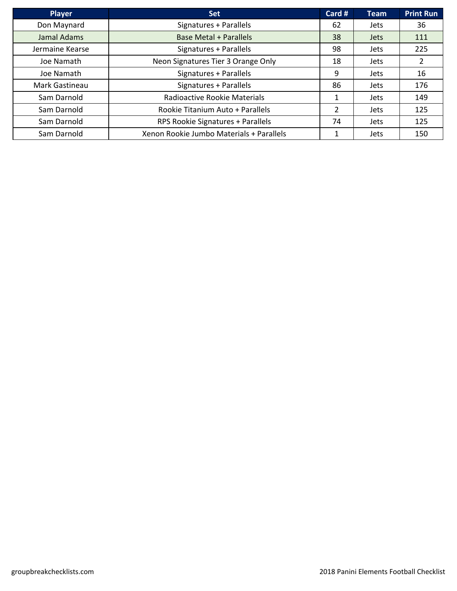| <b>Player</b>   | <b>Set</b>                               | Card #         | <b>Team</b> | <b>Print Run</b>      |
|-----------------|------------------------------------------|----------------|-------------|-----------------------|
| Don Maynard     | Signatures + Parallels                   | 62             | <b>Jets</b> | 36                    |
| Jamal Adams     | <b>Base Metal + Parallels</b>            | 38             | <b>Jets</b> | 111                   |
| Jermaine Kearse | Signatures + Parallels                   | 98             | <b>Jets</b> | 225                   |
| Joe Namath      | Neon Signatures Tier 3 Orange Only       | 18             | <b>Jets</b> | $\mathbf{2}^{\prime}$ |
| Joe Namath      | Signatures + Parallels                   | 9              | <b>Jets</b> | 16                    |
| Mark Gastineau  | Signatures + Parallels                   | 86             | <b>Jets</b> | 176                   |
| Sam Darnold     | Radioactive Rookie Materials             | 1              | <b>Jets</b> | 149                   |
| Sam Darnold     | Rookie Titanium Auto + Parallels         | $\overline{2}$ | <b>Jets</b> | 125                   |
| Sam Darnold     | RPS Rookie Signatures + Parallels        | 74             | <b>Jets</b> | 125                   |
| Sam Darnold     | Xenon Rookie Jumbo Materials + Parallels | 1              | Jets        | 150                   |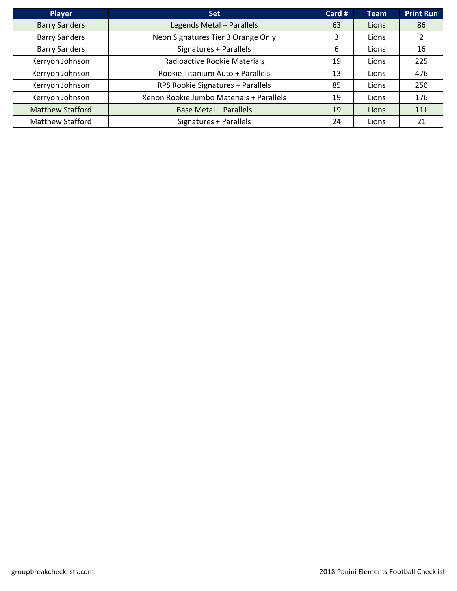| <b>Player</b>           | <b>Set</b>                               | Card # | <b>Team</b> | <b>Print Run</b> |
|-------------------------|------------------------------------------|--------|-------------|------------------|
| <b>Barry Sanders</b>    | Legends Metal + Parallels                | 63     | Lions       | 86               |
| <b>Barry Sanders</b>    | Neon Signatures Tier 3 Orange Only       | 3      | Lions       |                  |
| <b>Barry Sanders</b>    | Signatures + Parallels                   | 6      | Lions       | 16               |
| Kerryon Johnson         | Radioactive Rookie Materials             | 19     | Lions       | 225              |
| Kerryon Johnson         | Rookie Titanium Auto + Parallels         | 13     | Lions       | 476              |
| Kerryon Johnson         | RPS Rookie Signatures + Parallels        | 85     | Lions       | 250              |
| Kerryon Johnson         | Xenon Rookie Jumbo Materials + Parallels | 19     | Lions       | 176              |
| <b>Matthew Stafford</b> | <b>Base Metal + Parallels</b>            | 19     | Lions       | 111              |
| <b>Matthew Stafford</b> | Signatures + Parallels                   | 24     | Lions       | 21               |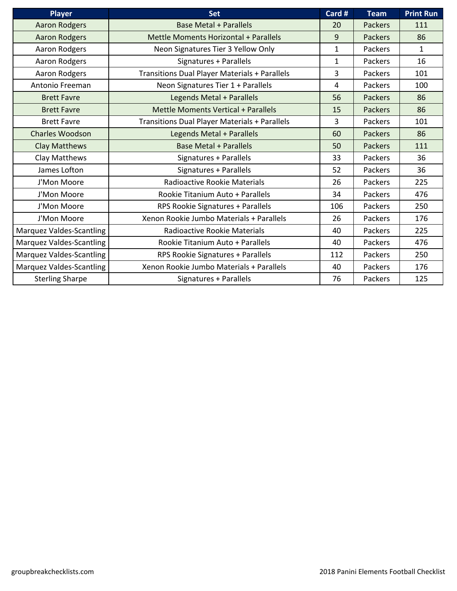| <b>Player</b>                   | <b>Set</b>                                           | Card #       | <b>Team</b>    | <b>Print Run</b> |
|---------------------------------|------------------------------------------------------|--------------|----------------|------------------|
| <b>Aaron Rodgers</b>            | <b>Base Metal + Parallels</b>                        | 20           | <b>Packers</b> | 111              |
| <b>Aaron Rodgers</b>            | Mettle Moments Horizontal + Parallels                | 9            | <b>Packers</b> | 86               |
| Aaron Rodgers                   | Neon Signatures Tier 3 Yellow Only                   | 1            | <b>Packers</b> | $\mathbf{1}$     |
| Aaron Rodgers                   | Signatures + Parallels                               | $\mathbf{1}$ | Packers        | 16               |
| Aaron Rodgers                   | <b>Transitions Dual Player Materials + Parallels</b> | 3            | Packers        | 101              |
| Antonio Freeman                 | Neon Signatures Tier 1 + Parallels                   | 4            | Packers        | 100              |
| <b>Brett Favre</b>              | Legends Metal + Parallels                            | 56           | <b>Packers</b> | 86               |
| <b>Brett Favre</b>              | <b>Mettle Moments Vertical + Parallels</b>           | 15           | <b>Packers</b> | 86               |
| <b>Brett Favre</b>              | <b>Transitions Dual Player Materials + Parallels</b> | 3            | Packers        | 101              |
| <b>Charles Woodson</b>          | Legends Metal + Parallels                            | 60           | <b>Packers</b> | 86               |
| Clay Matthews                   | <b>Base Metal + Parallels</b>                        | 50           | <b>Packers</b> | 111              |
| Clay Matthews                   | Signatures + Parallels                               | 33           | Packers        | 36               |
| James Lofton                    | Signatures + Parallels                               | 52           | Packers        | 36               |
| J'Mon Moore                     | Radioactive Rookie Materials                         | 26           | Packers        | 225              |
| J'Mon Moore                     | Rookie Titanium Auto + Parallels                     | 34           | Packers        | 476              |
| J'Mon Moore                     | RPS Rookie Signatures + Parallels                    | 106          | <b>Packers</b> | 250              |
| J'Mon Moore                     | Xenon Rookie Jumbo Materials + Parallels             | 26           | Packers        | 176              |
| <b>Marquez Valdes-Scantling</b> | Radioactive Rookie Materials                         | 40           | Packers        | 225              |
| Marquez Valdes-Scantling        | Rookie Titanium Auto + Parallels                     | 40           | <b>Packers</b> | 476              |
| Marquez Valdes-Scantling        | RPS Rookie Signatures + Parallels                    | 112          | <b>Packers</b> | 250              |
| <b>Marquez Valdes-Scantling</b> | Xenon Rookie Jumbo Materials + Parallels             | 40           | Packers        | 176              |
| <b>Sterling Sharpe</b>          | Signatures + Parallels                               | 76           | Packers        | 125              |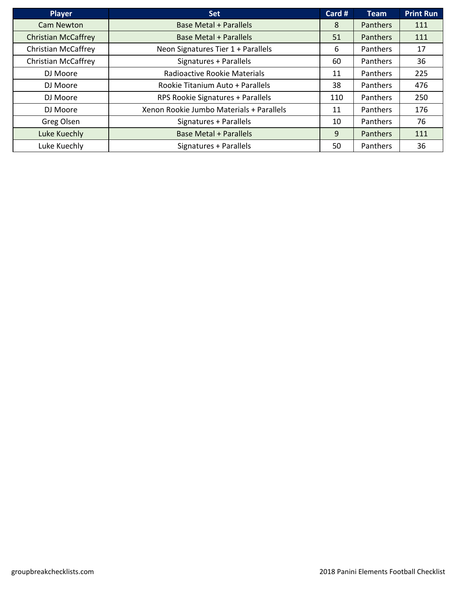| <b>Player</b>              | <b>Set</b>                               | Card # | Team            | <b>Print Run</b> |
|----------------------------|------------------------------------------|--------|-----------------|------------------|
| <b>Cam Newton</b>          | <b>Base Metal + Parallels</b>            | 8      | <b>Panthers</b> | 111              |
| <b>Christian McCaffrey</b> | <b>Base Metal + Parallels</b>            | 51     | <b>Panthers</b> | 111              |
| <b>Christian McCaffrey</b> | Neon Signatures Tier 1 + Parallels       | 6      | <b>Panthers</b> | 17               |
| <b>Christian McCaffrey</b> | Signatures + Parallels                   | 60     | Panthers        | 36               |
| DJ Moore                   | Radioactive Rookie Materials             | 11     | Panthers        | 225              |
| DJ Moore                   | Rookie Titanium Auto + Parallels         | 38     | Panthers        | 476              |
| DJ Moore                   | RPS Rookie Signatures + Parallels        | 110    | Panthers        | 250              |
| DJ Moore                   | Xenon Rookie Jumbo Materials + Parallels | 11     | Panthers        | 176              |
| Greg Olsen                 | Signatures + Parallels                   | 10     | Panthers        | 76               |
| Luke Kuechly               | <b>Base Metal + Parallels</b>            | 9      | <b>Panthers</b> | 111              |
| Luke Kuechly               | Signatures + Parallels                   | 50     | Panthers        | 36               |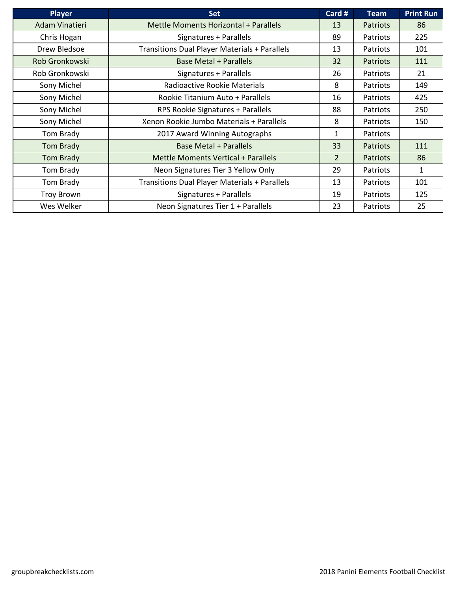| <b>Player</b>     | <b>Set</b>                                    | Card #         | <b>Team</b>     | <b>Print Run</b> |
|-------------------|-----------------------------------------------|----------------|-----------------|------------------|
| Adam Vinatieri    | Mettle Moments Horizontal + Parallels         | 13             | <b>Patriots</b> | 86               |
| Chris Hogan       | Signatures + Parallels                        | 89             | Patriots        | 225              |
| Drew Bledsoe      | Transitions Dual Player Materials + Parallels | 13             | Patriots        | 101              |
| Rob Gronkowski    | <b>Base Metal + Parallels</b>                 | 32             | <b>Patriots</b> | 111              |
| Rob Gronkowski    | Signatures + Parallels                        | 26             | Patriots        | 21               |
| Sony Michel       | Radioactive Rookie Materials                  | 8              | Patriots        | 149              |
| Sony Michel       | Rookie Titanium Auto + Parallels              | 16             | Patriots        | 425              |
| Sony Michel       | RPS Rookie Signatures + Parallels             | 88             | Patriots        | 250              |
| Sony Michel       | Xenon Rookie Jumbo Materials + Parallels      | 8              | Patriots        | 150              |
| Tom Brady         | 2017 Award Winning Autographs                 | 1              | Patriots        |                  |
| Tom Brady         | <b>Base Metal + Parallels</b>                 | 33             | <b>Patriots</b> | 111              |
| <b>Tom Brady</b>  | <b>Mettle Moments Vertical + Parallels</b>    | $\overline{2}$ | Patriots        | 86               |
| Tom Brady         | Neon Signatures Tier 3 Yellow Only            | 29             | Patriots        | 1                |
| Tom Brady         | Transitions Dual Player Materials + Parallels | 13             | Patriots        | 101              |
| <b>Troy Brown</b> | Signatures + Parallels                        | 19             | Patriots        | 125              |
| Wes Welker        | Neon Signatures Tier 1 + Parallels            | 23             | Patriots        | 25               |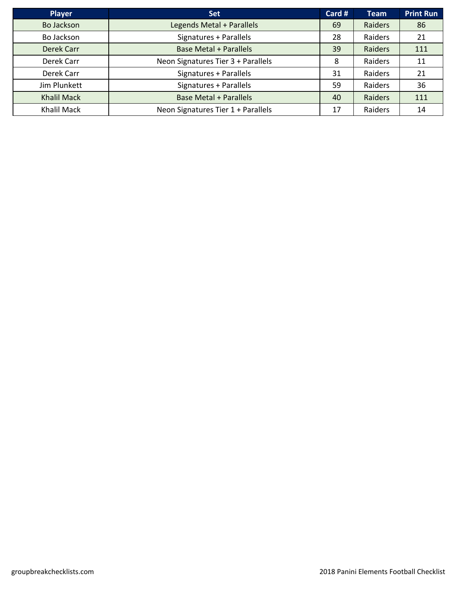| <b>Player</b>      | <b>Set</b>                         | Card # | <b>Team</b> | <b>Print Run</b> |
|--------------------|------------------------------------|--------|-------------|------------------|
| Bo Jackson         | Legends Metal + Parallels          | 69     | Raiders     | 86               |
| Bo Jackson         | Signatures + Parallels             | 28     | Raiders     | 21               |
| Derek Carr         | <b>Base Metal + Parallels</b>      | 39     | Raiders     | 111              |
| Derek Carr         | Neon Signatures Tier 3 + Parallels | 8      | Raiders     | 11               |
| Derek Carr         | Signatures + Parallels             | 31     | Raiders     | 21               |
| Jim Plunkett       | Signatures + Parallels             | 59     | Raiders     | 36               |
| <b>Khalil Mack</b> | <b>Base Metal + Parallels</b>      | 40     | Raiders     | 111              |
| Khalil Mack        | Neon Signatures Tier 1 + Parallels | 17     | Raiders     | 14               |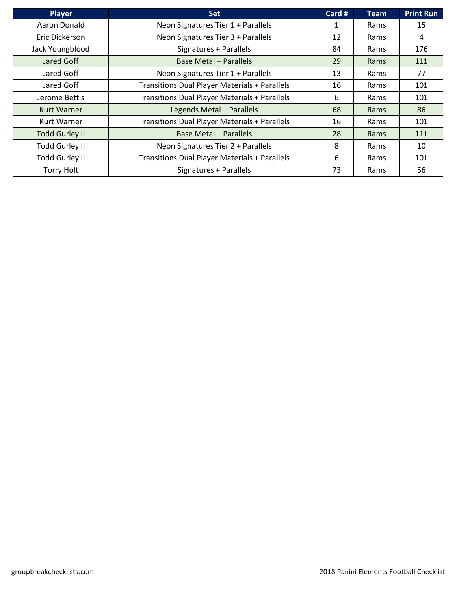| <b>Player</b>         | <b>Set</b>                                           | Card # | <b>Team</b> | <b>Print Run</b> |
|-----------------------|------------------------------------------------------|--------|-------------|------------------|
| Aaron Donald          | Neon Signatures Tier 1 + Parallels                   | 1      | Rams        | 15               |
| Eric Dickerson        | Neon Signatures Tier 3 + Parallels                   | 12     | Rams        | 4                |
| Jack Youngblood       | Signatures + Parallels                               | 84     | Rams        | 176              |
| Jared Goff            | <b>Base Metal + Parallels</b>                        | 29     | Rams        | 111              |
| Jared Goff            | Neon Signatures Tier 1 + Parallels                   | 13     | Rams        | 77               |
| Jared Goff            | <b>Transitions Dual Player Materials + Parallels</b> | 16     | Rams        | 101              |
| Jerome Bettis         | <b>Transitions Dual Player Materials + Parallels</b> | 6      | Rams        | 101              |
| <b>Kurt Warner</b>    | Legends Metal + Parallels                            | 68     | Rams        | 86               |
| <b>Kurt Warner</b>    | Transitions Dual Player Materials + Parallels        | 16     | Rams        | 101              |
| <b>Todd Gurley II</b> | <b>Base Metal + Parallels</b>                        | 28     | Rams        | 111              |
| <b>Todd Gurley II</b> | Neon Signatures Tier 2 + Parallels                   | 8      | Rams        | 10               |
| <b>Todd Gurley II</b> | Transitions Dual Player Materials + Parallels        | 6      | Rams        | 101              |
| <b>Torry Holt</b>     | Signatures + Parallels                               | 73     | Rams        | 56               |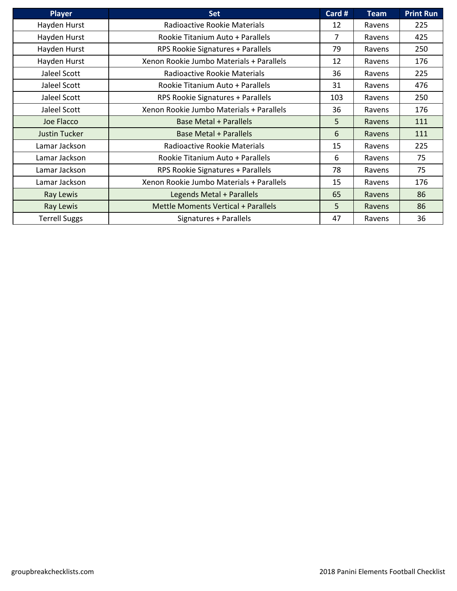| <b>Player</b>        | <b>Set</b>                                 | Card # | <b>Team</b> | <b>Print Run</b> |
|----------------------|--------------------------------------------|--------|-------------|------------------|
| Hayden Hurst         | Radioactive Rookie Materials               | 12     | Ravens      | 225              |
| Hayden Hurst         | Rookie Titanium Auto + Parallels           | 7      | Ravens      | 425              |
| Hayden Hurst         | RPS Rookie Signatures + Parallels          | 79     | Ravens      | 250              |
| Hayden Hurst         | Xenon Rookie Jumbo Materials + Parallels   | 12     | Ravens      | 176              |
| Jaleel Scott         | Radioactive Rookie Materials               | 36     | Ravens      | 225              |
| Jaleel Scott         | Rookie Titanium Auto + Parallels           | 31     | Ravens      | 476              |
| Jaleel Scott         | RPS Rookie Signatures + Parallels          | 103    | Ravens      | 250              |
| Jaleel Scott         | Xenon Rookie Jumbo Materials + Parallels   | 36     | Ravens      | 176              |
| Joe Flacco           | <b>Base Metal + Parallels</b>              | 5      | Ravens      | 111              |
| <b>Justin Tucker</b> | <b>Base Metal + Parallels</b>              | 6      | Ravens      | 111              |
| Lamar Jackson        | Radioactive Rookie Materials               | 15     | Ravens      | 225              |
| Lamar Jackson        | Rookie Titanium Auto + Parallels           | 6      | Ravens      | 75               |
| Lamar Jackson        | RPS Rookie Signatures + Parallels          | 78     | Ravens      | 75               |
| Lamar Jackson        | Xenon Rookie Jumbo Materials + Parallels   | 15     | Ravens      | 176              |
| Ray Lewis            | Legends Metal + Parallels                  | 65     | Ravens      | 86               |
| Ray Lewis            | <b>Mettle Moments Vertical + Parallels</b> | 5      | Ravens      | 86               |
| <b>Terrell Suggs</b> | Signatures + Parallels                     | 47     | Ravens      | 36               |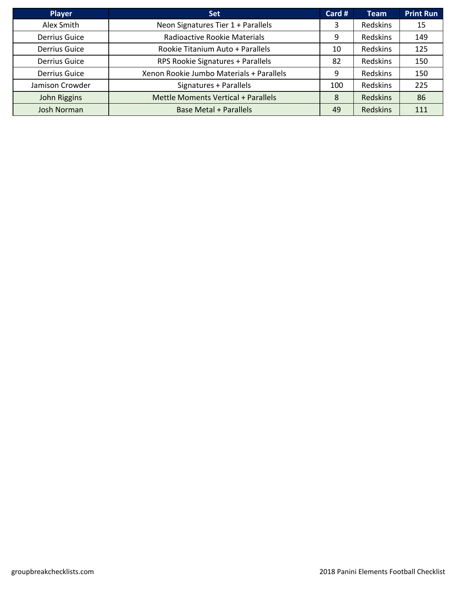| <b>Player</b>        | <b>Set</b>                               | Card # | <b>Team</b>     | <b>Print Run</b> |
|----------------------|------------------------------------------|--------|-----------------|------------------|
| Alex Smith           | Neon Signatures Tier 1 + Parallels       | 3      | Redskins        | 15               |
| Derrius Guice        | Radioactive Rookie Materials             | 9      | <b>Redskins</b> | 149              |
| Derrius Guice        | Rookie Titanium Auto + Parallels         | 10     | <b>Redskins</b> | 125              |
| Derrius Guice        | RPS Rookie Signatures + Parallels        | 82     | Redskins        | 150              |
| <b>Derrius Guice</b> | Xenon Rookie Jumbo Materials + Parallels | 9      | Redskins        | 150              |
| Jamison Crowder      | Signatures + Parallels                   | 100    | <b>Redskins</b> | 225              |
| John Riggins         | Mettle Moments Vertical + Parallels      | 8      | <b>Redskins</b> | 86               |
| <b>Josh Norman</b>   | <b>Base Metal + Parallels</b>            | 49     | <b>Redskins</b> | 111              |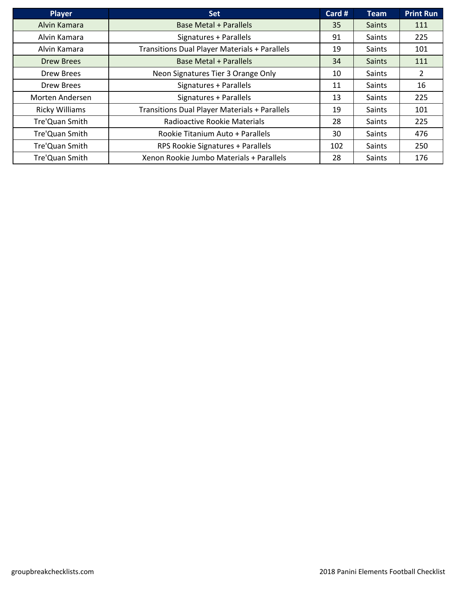| <b>Player</b>         | <b>Set</b>                                           | Card # | <b>Team</b>   | <b>Print Run</b> |
|-----------------------|------------------------------------------------------|--------|---------------|------------------|
| Alvin Kamara          | <b>Base Metal + Parallels</b>                        | 35     | <b>Saints</b> | 111              |
| Alvin Kamara          | Signatures + Parallels                               | 91     | Saints        | 225              |
| Alvin Kamara          | <b>Transitions Dual Player Materials + Parallels</b> | 19     | Saints        | 101              |
| <b>Drew Brees</b>     | <b>Base Metal + Parallels</b>                        | 34     | <b>Saints</b> | 111              |
| <b>Drew Brees</b>     | Neon Signatures Tier 3 Orange Only                   | 10     | Saints        | $\overline{2}$   |
| Drew Brees            | Signatures + Parallels                               | 11     | Saints        | 16               |
| Morten Andersen       | Signatures + Parallels                               | 13     | Saints        | 225              |
| <b>Ricky Williams</b> | <b>Transitions Dual Player Materials + Parallels</b> | 19     | Saints        | 101              |
| Tre'Quan Smith        | Radioactive Rookie Materials                         | 28     | Saints        | 225              |
| Tre'Quan Smith        | Rookie Titanium Auto + Parallels                     | 30     | Saints        | 476              |
| Tre'Quan Smith        | RPS Rookie Signatures + Parallels                    | 102    | Saints        | 250              |
| Tre'Quan Smith        | Xenon Rookie Jumbo Materials + Parallels             | 28     | Saints        | 176              |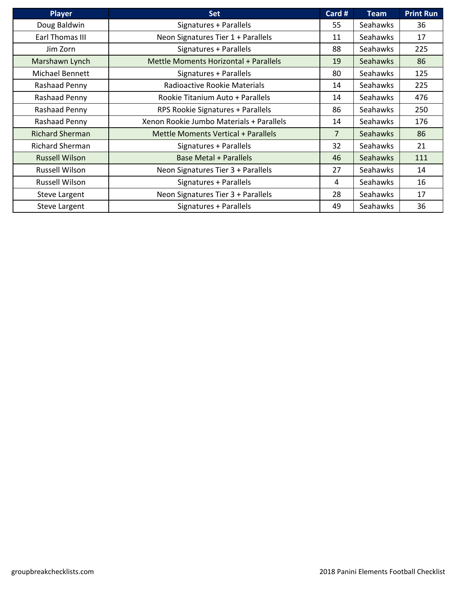| <b>Player</b>          | <b>Set</b>                               | Card #         | <b>Team</b>     | <b>Print Run</b> |
|------------------------|------------------------------------------|----------------|-----------------|------------------|
| Doug Baldwin           | Signatures + Parallels                   | 55             | Seahawks        | 36               |
| Earl Thomas III        | Neon Signatures Tier 1 + Parallels       | 11             | Seahawks        | 17               |
| Jim Zorn               | Signatures + Parallels                   | 88             | <b>Seahawks</b> | 225              |
| Marshawn Lynch         | Mettle Moments Horizontal + Parallels    | 19             | <b>Seahawks</b> | 86               |
| Michael Bennett        | Signatures + Parallels                   | 80             | <b>Seahawks</b> | 125              |
| Rashaad Penny          | Radioactive Rookie Materials             | 14             | Seahawks        | 225              |
| Rashaad Penny          | Rookie Titanium Auto + Parallels         | 14             | Seahawks        | 476              |
| Rashaad Penny          | RPS Rookie Signatures + Parallels        | 86             | <b>Seahawks</b> | 250              |
| Rashaad Penny          | Xenon Rookie Jumbo Materials + Parallels | 14             | Seahawks        | 176              |
| <b>Richard Sherman</b> | Mettle Moments Vertical + Parallels      | $\overline{7}$ | <b>Seahawks</b> | 86               |
| <b>Richard Sherman</b> | Signatures + Parallels                   | 32             | Seahawks        | 21               |
| <b>Russell Wilson</b>  | <b>Base Metal + Parallels</b>            | 46             | <b>Seahawks</b> | 111              |
| <b>Russell Wilson</b>  | Neon Signatures Tier 3 + Parallels       | 27             | Seahawks        | 14               |
| Russell Wilson         | Signatures + Parallels                   | 4              | Seahawks        | 16               |
| <b>Steve Largent</b>   | Neon Signatures Tier 3 + Parallels       | 28             | Seahawks        | 17               |
| <b>Steve Largent</b>   | Signatures + Parallels                   | 49             | Seahawks        | 36               |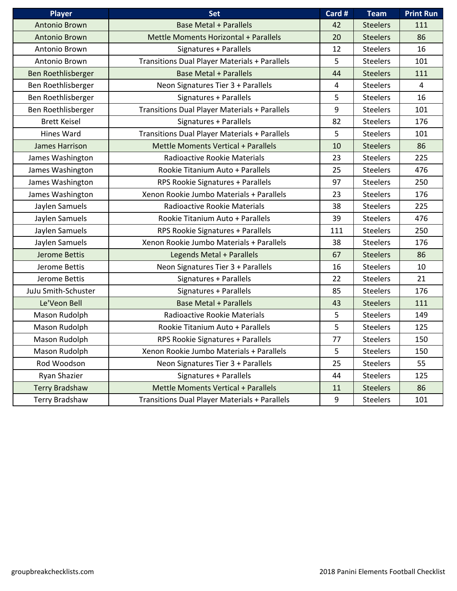| <b>Player</b>         | <b>Set</b>                                           | Card # | <b>Team</b>     | <b>Print Run</b> |
|-----------------------|------------------------------------------------------|--------|-----------------|------------------|
| <b>Antonio Brown</b>  | <b>Base Metal + Parallels</b>                        | 42     | <b>Steelers</b> | 111              |
| <b>Antonio Brown</b>  | Mettle Moments Horizontal + Parallels                | 20     | <b>Steelers</b> | 86               |
| Antonio Brown         | Signatures + Parallels                               | 12     | <b>Steelers</b> | 16               |
| Antonio Brown         | <b>Transitions Dual Player Materials + Parallels</b> | 5      | <b>Steelers</b> | 101              |
| Ben Roethlisberger    | <b>Base Metal + Parallels</b>                        | 44     | <b>Steelers</b> | 111              |
| Ben Roethlisberger    | Neon Signatures Tier 3 + Parallels                   | 4      | <b>Steelers</b> | $\overline{4}$   |
| Ben Roethlisberger    | Signatures + Parallels                               | 5      | <b>Steelers</b> | 16               |
| Ben Roethlisberger    | Transitions Dual Player Materials + Parallels        | 9      | <b>Steelers</b> | 101              |
| <b>Brett Keisel</b>   | Signatures + Parallels                               | 82     | <b>Steelers</b> | 176              |
| Hines Ward            | Transitions Dual Player Materials + Parallels        | 5      | <b>Steelers</b> | 101              |
| James Harrison        | Mettle Moments Vertical + Parallels                  | 10     | <b>Steelers</b> | 86               |
| James Washington      | Radioactive Rookie Materials                         | 23     | <b>Steelers</b> | 225              |
| James Washington      | Rookie Titanium Auto + Parallels                     | 25     | <b>Steelers</b> | 476              |
| James Washington      | RPS Rookie Signatures + Parallels                    | 97     | <b>Steelers</b> | 250              |
| James Washington      | Xenon Rookie Jumbo Materials + Parallels             | 23     | <b>Steelers</b> | 176              |
| Jaylen Samuels        | Radioactive Rookie Materials                         | 38     | <b>Steelers</b> | 225              |
| Jaylen Samuels        | Rookie Titanium Auto + Parallels                     | 39     | <b>Steelers</b> | 476              |
| Jaylen Samuels        | RPS Rookie Signatures + Parallels                    | 111    | <b>Steelers</b> | 250              |
| Jaylen Samuels        | Xenon Rookie Jumbo Materials + Parallels             | 38     | <b>Steelers</b> | 176              |
| <b>Jerome Bettis</b>  | Legends Metal + Parallels                            | 67     | <b>Steelers</b> | 86               |
| Jerome Bettis         | Neon Signatures Tier 3 + Parallels                   | 16     | <b>Steelers</b> | 10               |
| Jerome Bettis         | Signatures + Parallels                               | 22     | <b>Steelers</b> | 21               |
| JuJu Smith-Schuster   | Signatures + Parallels                               | 85     | <b>Steelers</b> | 176              |
| Le'Veon Bell          | <b>Base Metal + Parallels</b>                        | 43     | <b>Steelers</b> | 111              |
| Mason Rudolph         | Radioactive Rookie Materials                         | 5      | <b>Steelers</b> | 149              |
| Mason Rudolph         | Rookie Titanium Auto + Parallels                     | 5      | <b>Steelers</b> | 125              |
| Mason Rudolph         | RPS Rookie Signatures + Parallels                    | 77     | <b>Steelers</b> | 150              |
| Mason Rudolph         | Xenon Rookie Jumbo Materials + Parallels             | 5      | <b>Steelers</b> | 150              |
| Rod Woodson           | Neon Signatures Tier 3 + Parallels                   | 25     | <b>Steelers</b> | 55               |
| Ryan Shazier          | Signatures + Parallels                               | 44     | <b>Steelers</b> | 125              |
| <b>Terry Bradshaw</b> | Mettle Moments Vertical + Parallels                  | 11     | <b>Steelers</b> | 86               |
| Terry Bradshaw        | <b>Transitions Dual Player Materials + Parallels</b> | 9      | <b>Steelers</b> | 101              |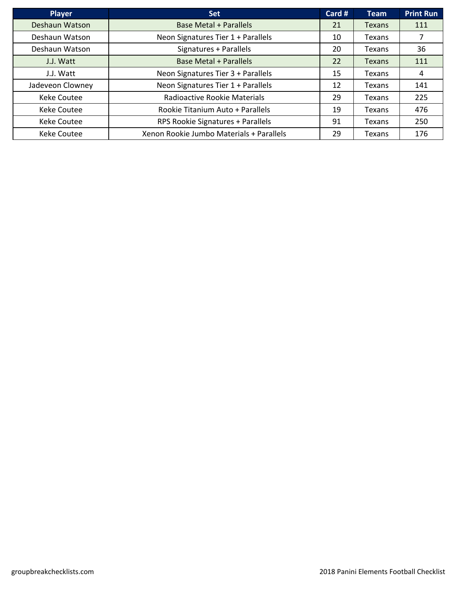| <b>Player</b>      | <b>Set</b>                               | Card # | <b>Team</b>   | <b>Print Run</b> |
|--------------------|------------------------------------------|--------|---------------|------------------|
| Deshaun Watson     | <b>Base Metal + Parallels</b>            | 21     | Texans        | 111              |
| Deshaun Watson     | Neon Signatures Tier 1 + Parallels       | 10     | Texans        |                  |
| Deshaun Watson     | Signatures + Parallels                   | 20     | Texans        | 36               |
| J.J. Watt          | <b>Base Metal + Parallels</b>            | 22     | <b>Texans</b> | 111              |
| J.J. Watt          | Neon Signatures Tier 3 + Parallels       | 15     | Texans        | 4                |
| Jadeveon Clowney   | Neon Signatures Tier 1 + Parallels       | 12     | Texans        | 141              |
| <b>Keke Coutee</b> | Radioactive Rookie Materials             | 29     | Texans        | 225              |
| <b>Keke Coutee</b> | Rookie Titanium Auto + Parallels         | 19     | Texans        | 476              |
| <b>Keke Coutee</b> | RPS Rookie Signatures + Parallels        | 91     | Texans        | 250              |
| <b>Keke Coutee</b> | Xenon Rookie Jumbo Materials + Parallels | 29     | Texans        | 176              |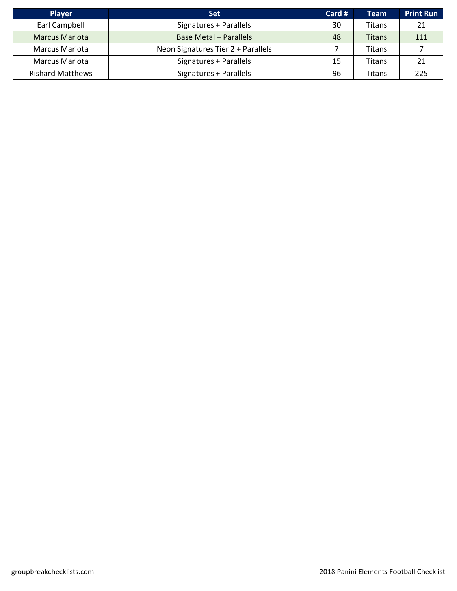| <b>Player</b>           | <b>Set</b>                         | Card # | <b>Team</b>   | <b>Print Run</b> |
|-------------------------|------------------------------------|--------|---------------|------------------|
| Earl Campbell           | Signatures + Parallels             | 30     | Titans        | 21               |
| <b>Marcus Mariota</b>   | <b>Base Metal + Parallels</b>      | 48     | <b>Titans</b> | 111              |
| <b>Marcus Mariota</b>   | Neon Signatures Tier 2 + Parallels |        | Titans        |                  |
| Marcus Mariota          | Signatures + Parallels             | 15     | Titans        | 21               |
| <b>Rishard Matthews</b> | Signatures + Parallels             | 96     | Titans        | 225              |